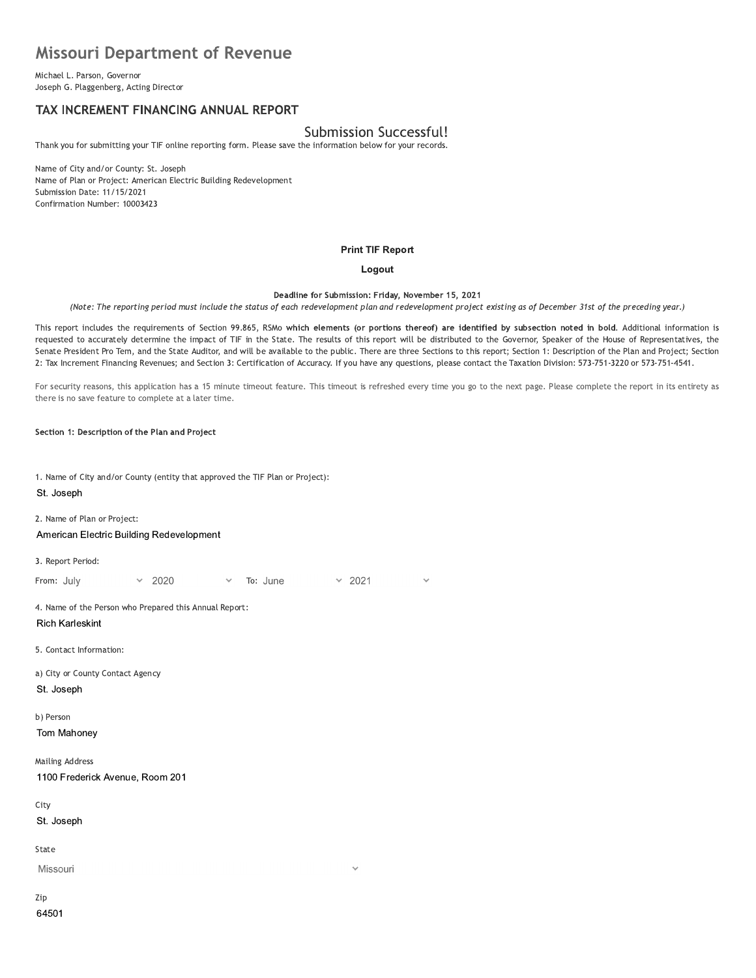# **Missouri Department of Revenue**

Michael L. Parson, Governor Joseph G. Plaggenberg, Acting Director

# TAX INCREMENT FINANCING ANNUAL REPORT

## **Submission Successful!**

Thank you for submitting your TIF online reporting form. Please save the information below for your records.

Name of City and/or County: St. Joseph Name of Plan or Project: American Electric Building Redevelopment Submission Date: 11/15/2021 Confirmation Number: 10003423

#### **Print TIF Report**

#### Logout

Deadline for Submission: Friday, November 15, 2021

(Note: The reporting period must include the status of each redevelopment plan and redevelopment project existing as of December 31st of the preceding year.)

This report includes the requirements of Section 99.865, RSMo which elements (or portions thereof) are identified by subsection noted in bold. Additional information is requested to accurately determine the impact of TIF in the State. The results of this report will be distributed to the Governor, Speaker of the House of Representatives, the Senate President Pro Tem, and the State Auditor, and will be available to the public. There are three Sections to this report; Section 1: Description of the Plan and Project; Section 2: Tax Increment Financing Revenues; and Section 3: Certification of Accuracy. If you have any questions, please contact the Taxation Division: 573-751-3220 or 573-751-4541.

For security reasons, this application has a 15 minute timeout feature. This timeout is refreshed every time you go to the next page. Please complete the report in its entirety as there is no save feature to complete at a later time.

 $\ddot{\phantom{0}}$ 

Section 1: Description of the Plan and Project

1. Name of City and/or County (entity that approved the TIF Plan or Project):

#### St. Joseph

2. Name of Plan or Project:

American Electric Building Redevelopment

3. Report Period:

From: July 2020 To: June  $\times$  2021

4. Name of the Person who Prepared this Annual Report:

**Rich Karleskint** 

5. Contact Information:

a) City or County Contact Agency St. Joseph

b) Person

Tom Mahoney

**Mailing Address** 1100 Frederick Avenue, Room 201

City

St. Joseph

State

Missouri

Zip 64501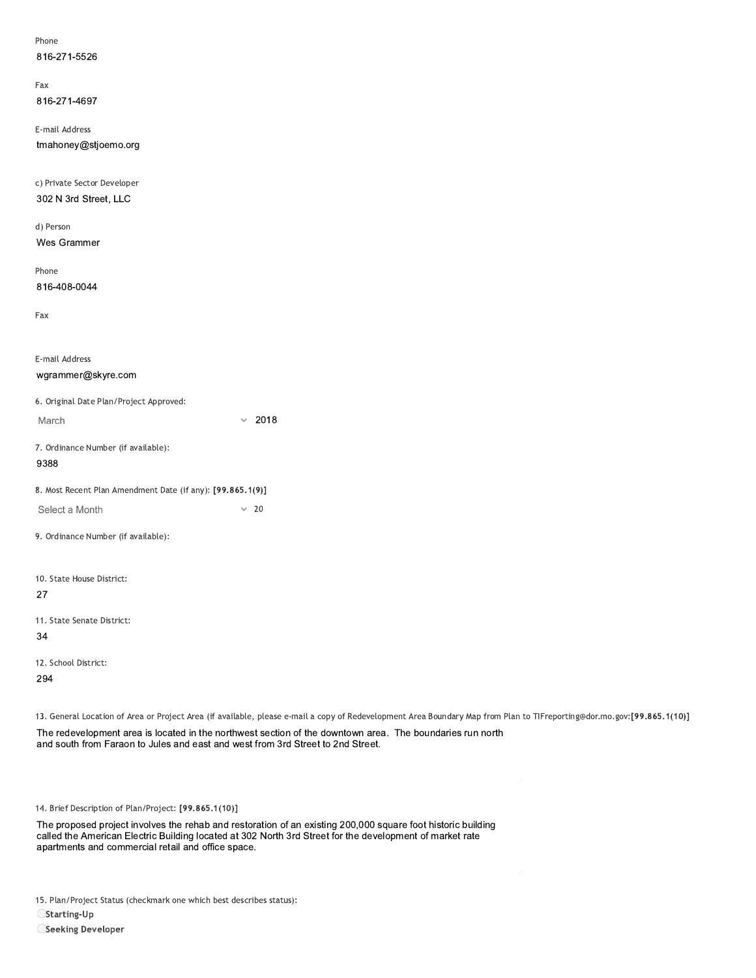| Phone        |
|--------------|
| 816-271-5526 |

rax 816-271-4697

E-mail Address 816-271-5526<br>
Fax<br>
816-271-4697<br>
E-mail Address<br>
tmahoney@stjoemo.org<br>
c) Private Sector Developer<br>
302 N 3rd Street, LLC<br>
d) Person<br>
Wes Grammer

c) Private Sector Developer 302 N 3rd Street, LLC

d) Person Wes Grammer

Phone 816-408-0044

| 816-408-0044                                               |      |
|------------------------------------------------------------|------|
| Fax                                                        |      |
| E-mail Address                                             |      |
| wgrammer@skyre.com                                         |      |
| 6. Original Date Plan/Project Approved:                    |      |
| March                                                      | 2018 |
| 7. Ordinance Number (if available):<br>9388                |      |
| 8. Most Recent Plan Amendment Date (if any): [99.865.1(9)] |      |
| Select a Month                                             | 20   |
| 9. Ordinance Number (if available):                        |      |
| 10. State House District:                                  |      |
| 27                                                         |      |
| 11. State Senate District:                                 |      |
| 34                                                         |      |
| 12. School District:                                       |      |
| 294                                                        |      |

13. General Location of Area or Project Area (if available, please e-mail a copy of Redevelopment Area Boundary Map from Plan to TIFreporting@dor.mo.gov:[99.865.1(10)]

12. School District:<br>294<br>13. General Location of Area or Project Area (if available, please e-mail a copy of Redevelopment Area Boundary Map from Pla<br>The redevelopment area is located in the northwest section of the downto

14. Brief Description of Plan/Project: [99.865.1(10)]

12. School District:<br>294<br>13. General Location of Area or Project Area (if available, please e-mail a copy of Redevelopment Area Boundary Ma<br>The redevelopment area is located in the northwest section of the downtown area. T The proposed project involves the rehab and restoration of an existing 200,000 square foot historic building called the American Electric Building located at 302 North 3rd Street for the development of market rate 14. Brief Description of Plan/Project: [99.865.1(10)]<br>The proposed project involves the rehab and restoration of an existing 20<br>called the American Electric Building located at 302 North 3rd Street for the<br>apartments and c

15. Plan/Project Status (checkmark one which best describes status):

 $C$ Starting-Up

Seeking Developer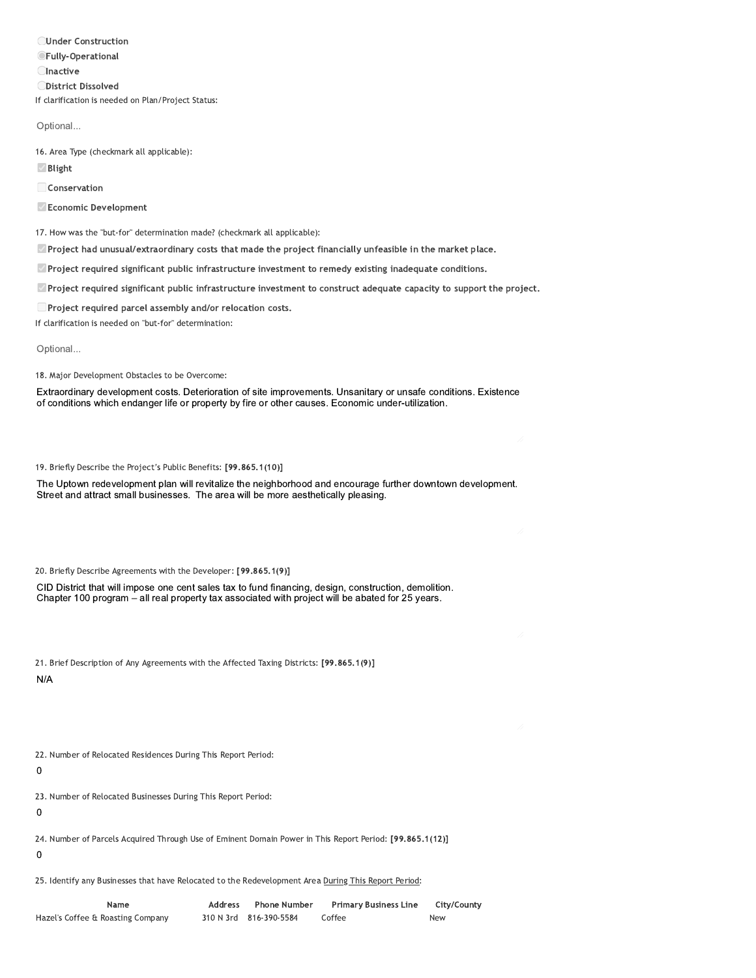**OUnder Construction OFully-Operational CInactive ODistrict Dissolved** If clarification is needed on Plan/Project Status:

Optional...

16. Area Type (checkmark all applicable):

Blight

Conservation

Economic Development

17. How was the "but-for" determination made? (checkmark all applicable):

Project had unusual/extraordinary costs that made the project financially unfeasible in the market place.

Project required significant public infrastructure investment to remedy existing inadequate conditions.

Project required significant public infrastructure investment to construct adequate capacity to support the project.

Project required parcel assembly and/or relocation costs.

If clarification is needed on "but-for" determination:

Optional...

18. Major Development Obstacles to be Overcome:

Extraordinary development costs. Deterioration of site improvements. Unsanitary or unsafe conditions. Existence of conditions which endanger life or property by fire or other causes. Economic under-utilization.

19. Briefly Describe the Project's Public Benefits: [99.865.1(10)]

The Uptown redevelopment plan will revitalize the neighborhood and encourage further downtown development. Street and attract small businesses. The area will be more aesthetically pleasing.

20. Briefly Describe Agreements with the Developer: [99.865.1(9)]

CID District that will impose one cent sales tax to fund financing, design, construction, demolition, Chapter 100 program - all real property tax associated with project will be abated for 25 years.

21. Brief Description of Any Agreements with the Affected Taxing Districts: [99.865.1(9)]

 $N/A$ 

22. Number of Relocated Residences During This Report Period:

 $\mathbf 0$ 

23. Number of Relocated Businesses During This Report Period:

 $\mathbf 0$ 

24. Number of Parcels Acquired Through Use of Eminent Domain Power in This Report Period: [99.865.1(12)]

 $\mathbf 0$ 

25. Identify any Businesses that have Relocated to the Redevelopment Area During This Report Period:

Name Address Phone Number **Primary Business Line** City/County Hazel's Coffee & Roasting Company 310 N 3rd 816-390-5584 Coffee New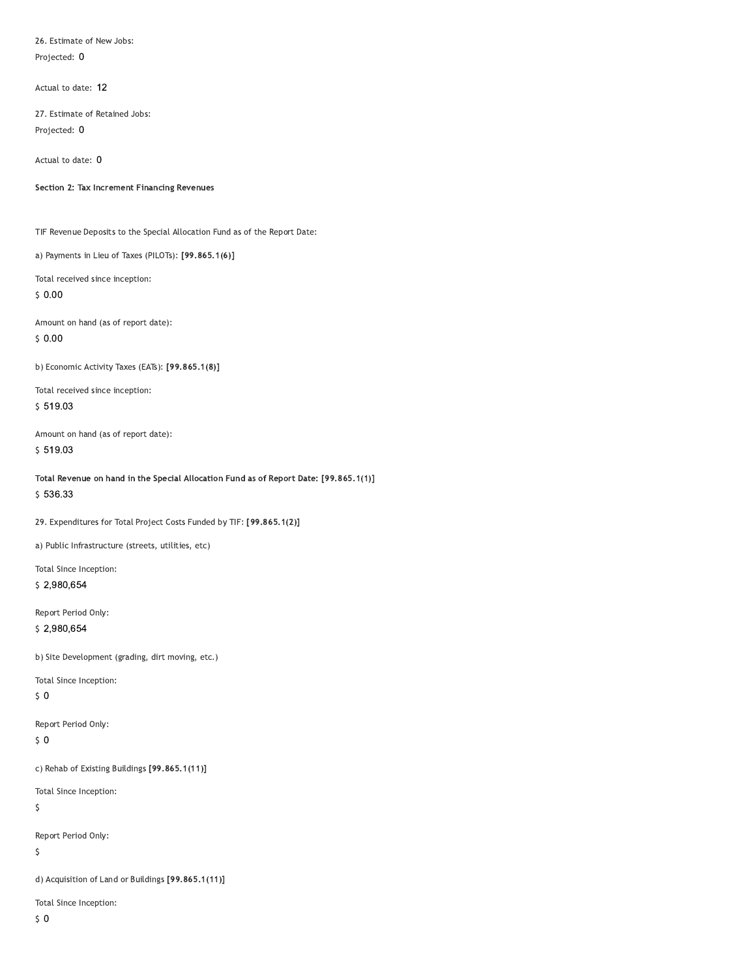26. Estimate of New Jobs: Projected: 0

Actual to date: 12

27. Estimate of Retained Jobs: Projected: 0

Actual to date: 0

Section 2: Tax Increment Financing Revenues

TIF Revenue Deposits to the Special Allocation Fund as of the Report Date:

a) Payments in Lieu of Taxes (PILOTs): [99.865.1(6)]

Total received since inception:  $$0.00$ 

Amount on hand (as of report date):  $$0.00$ 

b) Economic Activity Taxes (EATs): [99.865.1(8)]

Total received since inception:  $$519.03$ 

Amount on hand (as of report date): \$519.03

Total Revenue on hand in the Special Allocation Fund as of Report Date: [99.865.1(1)] \$536.33

29. Expenditures for Total Project Costs Funded by TIF: [99.865.1(2)]

a) Public Infrastructure (streets, utilities, etc)

Total Since Inception: \$2,980,654

Report Period Only: \$2,980,654

b) Site Development (grading, dirt moving, etc.)

Total Since Inception:

 $\sqrt{5}$  O

Report Period Only:

 $$0$ 

c) Rehab of Existing Buildings [99.865.1(11)]

Total Since Inception:

 $\varsigma$ 

Report Period Only:

 $\mathsf{S}$ 

d) Acquisition of Land or Buildings [99.865.1(11)]

Total Since Inception:

 $\zeta$  0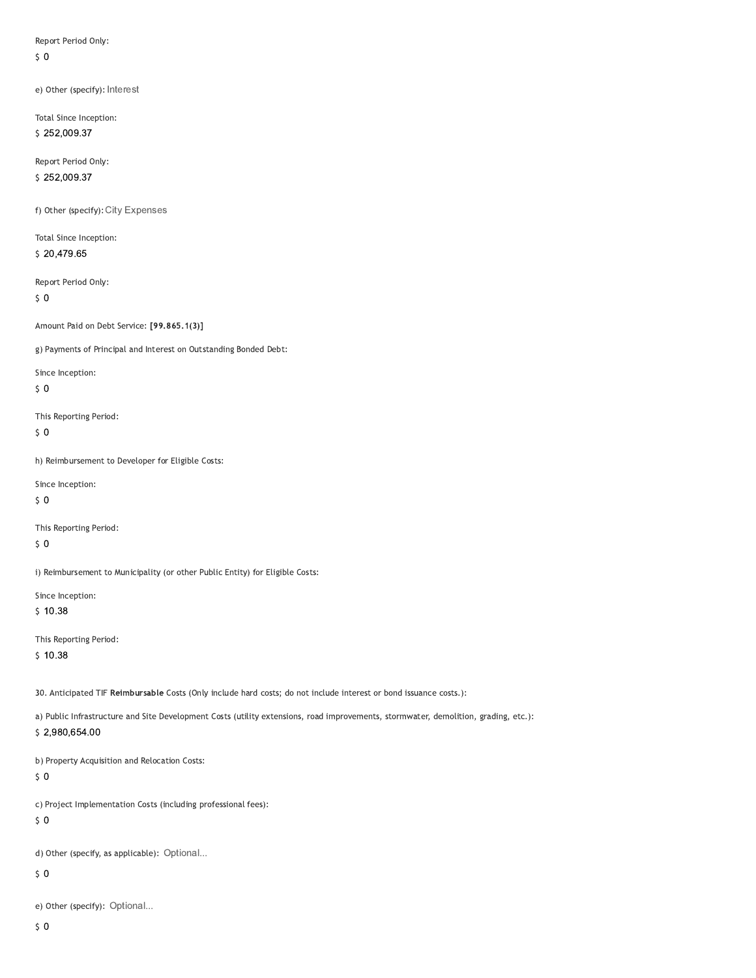Report Period Only:

 $\sqrt{5}$  O

e) Other (specify): Interest

Total Since Inception: \$252,009.37

Report Period Only: \$252,009.37

f) Other (specify): City Expenses

Total Since Inception: \$20,479.65

Report Period Only:

 $\sqrt{5}$  O

Amount Paid on Debt Service: [99.865.1(3)]

g) Payments of Principal and Interest on Outstanding Bonded Debt:

Since Inception:

 $\sqrt{5}$  O

This Reporting Period:

 $\zeta$  0

h) Reimbursement to Developer for Eligible Costs:

Since Inception:

 $\sqrt{5}$  O

This Reporting Period:

 $\sqrt{5}$  O

i) Reimbursement to Municipality (or other Public Entity) for Eligible Costs:

Since Inception:

 $$10.38$ 

This Reporting Period:

 $$10.38$ 

30. Anticipated TIF Reimbursable Costs (Only include hard costs; do not include interest or bond issuance costs.):

a) Public Infrastructure and Site Development Costs (utility extensions, road improvements, stormwater, demolition, grading, etc.): \$2,980,654.00

b) Property Acquisition and Relocation Costs:

 $50$ 

c) Project Implementation Costs (including professional fees):

 $\sqrt{5}$  O

d) Other (specify, as applicable): Optional...

 $50$ 

e) Other (specify): Optional...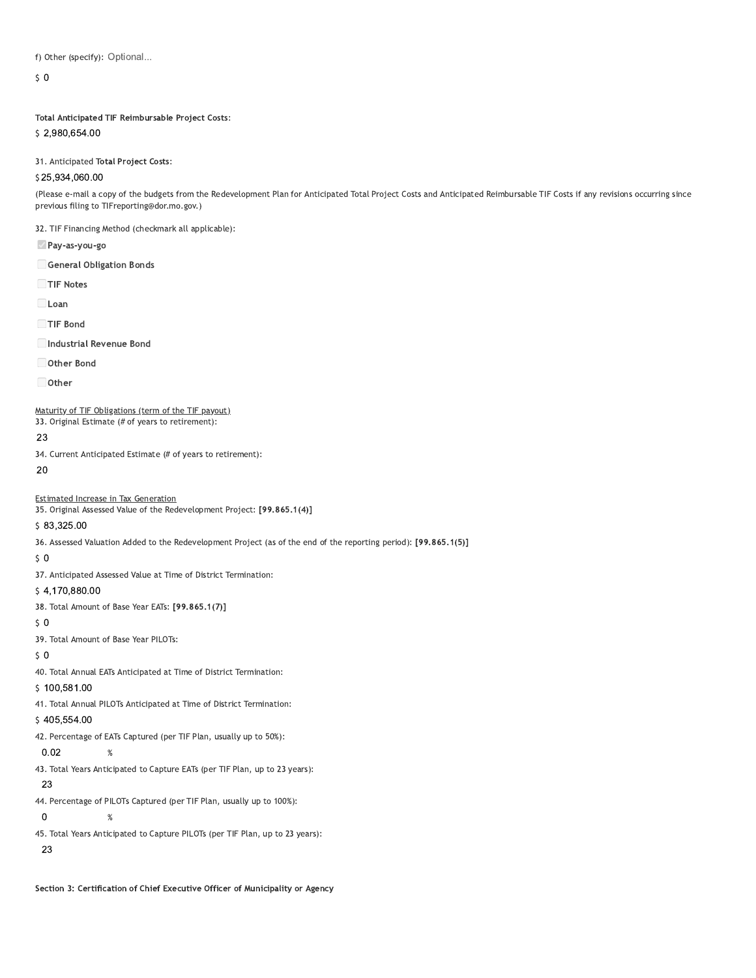f) Other (specify): Optional...

 $\mathsf{S}$  0

### Total Anticipated TIF Reimbursable Project Costs:

\$2,980,654.00

31. Anticipated Total Project Costs:

## \$25,934,060.00

(Please e-mail a copy of the budgets from the Redevelopment Plan for Anticipated Total Project Costs and Anticipated Reimbursable TIF Costs if any revisions occurring since previous filing to TIFreporting@dor.mo.gov.)

32. TIF Financing Method (checkmark all applicable):

- Pay-as-you-go
- General Obligation Bonds

TIF Notes

 $\Box$  Loan

TIF Bond

Industrial Revenue Bond

Other Bond

□ Other

#### Maturity of TIF Obligations (term of the TIF payout)

33. Original Estimate (# of years to retirement):

23

34. Current Anticipated Estimate (# of years to retirement):

20

#### **Estimated Increase in Tax Generation**

35. Original Assessed Value of the Redevelopment Project: [99.865.1(4)]

### \$83,325.00

36. Assessed Valuation Added to the Redevelopment Project (as of the end of the reporting period): [99.865.1(5)]

 $50$ 

37. Anticipated Assessed Value at Time of District Termination:

### \$4,170,880.00

38. Total Amount of Base Year EATs: [99.865.1(7)]

 $50$ 

39. Total Amount of Base Year PILOTs:

 $\%$ 

 $\%$ 

### $50$

40. Total Annual EATs Anticipated at Time of District Termination:

# \$100,581.00

41. Total Annual PILOTs Anticipated at Time of District Termination:

### \$405,554.00

42. Percentage of EATs Captured (per TIF Plan, usually up to 50%):

### $0.02$

43. Total Years Anticipated to Capture EATs (per TIF Plan, up to 23 years):

#### 23

44. Percentage of PILOTs Captured (per TIF Plan, usually up to 100%):

### $\pmb{0}$

45. Total Years Anticipated to Capture PILOTs (per TIF Plan, up to 23 years):

### 23

Section 3: Certification of Chief Executive Officer of Municipality or Agency